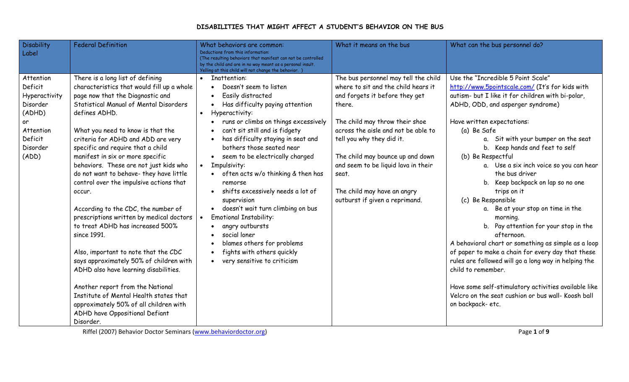## **DISABILITIES THAT MIGHT AFFECT A STUDENT'S BEHAVIOR ON THE BUS**

| <b>Disability</b><br>Label                                                                                     | <b>Federal Definition</b>                                                                                                                                                                                                                                                                                                                                                                                                                                                                                                                                                                                                                                                                                                                                                                                                                                                                                            | What behaviors are common:<br>Deductions from this information:<br>(The resulting behaviors that manifest can not be controlled<br>by the child and are in no way meant as a personal insult.<br>Yelling at this child will not change the behavior.                                                                                                                                                                                                                                                                                                                                                                                                                                       | What it means on the bus                                                                                                                                                                                                                                                                                                                                                           | What can the bus personnel do?                                                                                                                                                                                                                                                                                                                                                                                                                                                                                                                                                                                                                                                                                                                                                                                                                                                                        |
|----------------------------------------------------------------------------------------------------------------|----------------------------------------------------------------------------------------------------------------------------------------------------------------------------------------------------------------------------------------------------------------------------------------------------------------------------------------------------------------------------------------------------------------------------------------------------------------------------------------------------------------------------------------------------------------------------------------------------------------------------------------------------------------------------------------------------------------------------------------------------------------------------------------------------------------------------------------------------------------------------------------------------------------------|--------------------------------------------------------------------------------------------------------------------------------------------------------------------------------------------------------------------------------------------------------------------------------------------------------------------------------------------------------------------------------------------------------------------------------------------------------------------------------------------------------------------------------------------------------------------------------------------------------------------------------------------------------------------------------------------|------------------------------------------------------------------------------------------------------------------------------------------------------------------------------------------------------------------------------------------------------------------------------------------------------------------------------------------------------------------------------------|-------------------------------------------------------------------------------------------------------------------------------------------------------------------------------------------------------------------------------------------------------------------------------------------------------------------------------------------------------------------------------------------------------------------------------------------------------------------------------------------------------------------------------------------------------------------------------------------------------------------------------------------------------------------------------------------------------------------------------------------------------------------------------------------------------------------------------------------------------------------------------------------------------|
| Attention<br>Deficit<br>Hyperactivity<br>Disorder<br>(ADHD)<br>or<br>Attention<br>Deficit<br>Disorder<br>(ADD) | There is a long list of defining<br>characteristics that would fill up a whole<br>page now that the Diagnostic and<br>Statistical Manual of Mental Disorders<br>defines ADHD.<br>What you need to know is that the<br>criteria for ADHD and ADD are very<br>specific and require that a child<br>manifest in six or more specific<br>behaviors. These are not just kids who<br>do not want to behave- they have little<br>control over the impulsive actions that<br>occur.<br>According to the CDC, the number of<br>prescriptions written by medical doctors<br>to treat ADHD has increased 500%<br>since 1991.<br>Also, important to note that the CDC<br>says approximately 50% of children with<br>ADHD also have learning disabilities.<br>Another report from the National<br>Institute of Mental Health states that<br>approximately 50% of all children with<br>ADHD have Oppositional Defiant<br>Disorder. | Inattention:<br>$\bullet$<br>Doesn't seem to listen<br>$\bullet$<br>Easily distracted<br>$\bullet$<br>Has difficulty paying attention<br>Hyperactivity:<br>runs or climbs on things excessively<br>can't sit still and is fidgety<br>has difficulty staying in seat and<br>bothers those seated near<br>seem to be electrically charged<br>Impulsivity:<br>$\bullet$<br>often acts w/o thinking & then has<br>remorse<br>shifts excessively needs a lot of<br>supervision<br>doesn't wait turn climbing on bus<br><b>Emotional Instability:</b><br>angry outbursts<br>social loner<br>blames others for problems<br>fights with others quickly<br>very sensitive to criticism<br>$\bullet$ | The bus personnel may tell the child<br>where to sit and the child hears it<br>and forgets it before they get<br>there.<br>The child may throw their shoe<br>across the aisle and not be able to<br>tell you why they did it.<br>The child may bounce up and down<br>and seem to be liquid lava in their<br>seat.<br>The child may have an angry<br>outburst if given a reprimand. | Use the "Incredible 5 Point Scale"<br>http://www.5pointscale.com/ (It's for kids with<br>autism- but I like it for children with bi-polar,<br>ADHD, ODD, and asperger syndrome)<br>Have written expectations:<br>(a) Be Safe<br>a. Sit with your bumper on the seat<br>b. Keep hands and feet to self<br>(b) Be Respectful<br>a. Use a six inch voice so you can hear<br>the bus driver<br>b. Keep backpack on lap so no one<br>trips on it<br>(c) Be Responsible<br>a. Be at your stop on time in the<br>morning.<br>b. Pay attention for your stop in the<br>afternoon.<br>A behavioral chart or something as simple as a loop<br>of paper to make a chain for every day that these<br>rules are followed will go a long way in helping the<br>child to remember.<br>Have some self-stimulatory activities available like<br>Velcro on the seat cushion or bus wall- Koosh ball<br>on backpack-etc. |

Riffel (2007) Behavior Doctor Seminars (www.behaviordoctor.org) Page **1** of **9**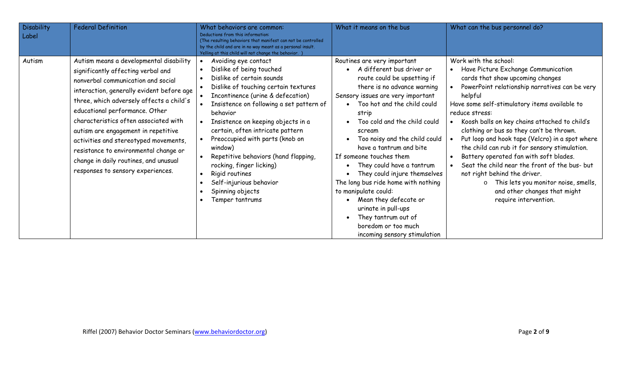| <b>Disability</b><br>Label | <b>Federal Definition</b>                                                                                                                                                                                                                                                                                                                                                                                                                                                                      | What behaviors are common:<br>Deductions from this information:<br>(The resulting behaviors that manifest can not be controlled<br>by the child and are in no way meant as a personal insult.<br>Yelling at this child will not change the behavior.                                                                                                                                                                                                                                               | What it means on the bus                                                                                                                                                                                                                                                                                                                                                                                                                                                                                                                                                                         | What can the bus personnel do?                                                                                                                                                                                                                                                                                                                                                                                                                                                                                                                                                                                                                                  |
|----------------------------|------------------------------------------------------------------------------------------------------------------------------------------------------------------------------------------------------------------------------------------------------------------------------------------------------------------------------------------------------------------------------------------------------------------------------------------------------------------------------------------------|----------------------------------------------------------------------------------------------------------------------------------------------------------------------------------------------------------------------------------------------------------------------------------------------------------------------------------------------------------------------------------------------------------------------------------------------------------------------------------------------------|--------------------------------------------------------------------------------------------------------------------------------------------------------------------------------------------------------------------------------------------------------------------------------------------------------------------------------------------------------------------------------------------------------------------------------------------------------------------------------------------------------------------------------------------------------------------------------------------------|-----------------------------------------------------------------------------------------------------------------------------------------------------------------------------------------------------------------------------------------------------------------------------------------------------------------------------------------------------------------------------------------------------------------------------------------------------------------------------------------------------------------------------------------------------------------------------------------------------------------------------------------------------------------|
| Autism                     | Autism means a developmental disability<br>significantly affecting verbal and<br>nonverbal communication and social<br>interaction, generally evident before age<br>three, which adversely affects a child's<br>educational performance. Other<br>characteristics often associated with<br>autism are engagement in repetitive<br>activities and stereotyped movements,<br>resistance to environmental change or<br>change in daily routines, and unusual<br>responses to sensory experiences. | Avoiding eye contact<br>Dislike of being touched<br>Dislike of certain sounds<br>Dislike of touching certain textures<br>Incontinence (urine & defecation)<br>Insistence on following a set pattern of<br>behavior<br>Insistence on keeping objects in a<br>certain, often intricate pattern<br>Preoccupied with parts (knob on<br>window)<br>Repetitive behaviors (hand flapping,<br>rocking, finger licking)<br>Rigid routines<br>Self-injurious behavior<br>Spinning objects<br>Temper tantrums | Routines are very important<br>• A different bus driver or<br>route could be upsetting if<br>there is no advance warning<br>Sensory issues are very important<br>Too hot and the child could<br>strip<br>Too cold and the child could<br>scream<br>Too noisy and the child could<br>have a tantrum and bite<br>If someone touches them<br>They could have a tantrum<br>They could injure themselves<br>The long bus ride home with nothing<br>to manipulate could:<br>Mean they defecate or<br>urinate in pull-ups<br>They tantrum out of<br>boredom or too much<br>incoming sensory stimulation | Work with the school:<br>Have Picture Exchange Communication<br>cards that show upcoming changes<br>PowerPoint relationship narratives can be very<br>helpful<br>Have some self-stimulatory items available to<br>reduce stress:<br>Koosh balls on key chains attached to child's<br>clothing or bus so they can't be thrown.<br>Put loop and hook tape (Velcro) in a spot where<br>the child can rub it for sensory stimulation.<br>Battery operated fan with soft blades.<br>Seat the child near the front of the bus- but<br>not right behind the driver.<br>o This lets you monitor noise, smells,<br>and other changes that might<br>require intervention. |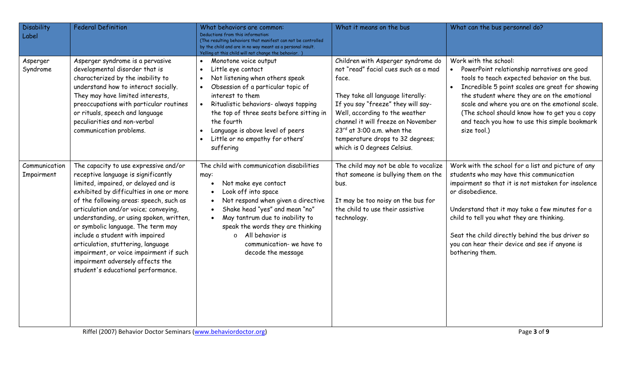| <b>Disability</b><br>Label  | <b>Federal Definition</b>                                                                                                                                                                                                                                                                                                                                                                                                                                                                                                            | What behaviors are common:<br>Deductions from this information:<br>(The resulting behaviors that manifest can not be controlled<br>by the child and are in no way meant as a personal insult.<br>Yelling at this child will not change the behavior.                                                                                                                    | What it means on the bus                                                                                                                                                                                                                                                                                                                     | What can the bus personnel do?                                                                                                                                                                                                                                                                                                                                                                     |
|-----------------------------|--------------------------------------------------------------------------------------------------------------------------------------------------------------------------------------------------------------------------------------------------------------------------------------------------------------------------------------------------------------------------------------------------------------------------------------------------------------------------------------------------------------------------------------|-------------------------------------------------------------------------------------------------------------------------------------------------------------------------------------------------------------------------------------------------------------------------------------------------------------------------------------------------------------------------|----------------------------------------------------------------------------------------------------------------------------------------------------------------------------------------------------------------------------------------------------------------------------------------------------------------------------------------------|----------------------------------------------------------------------------------------------------------------------------------------------------------------------------------------------------------------------------------------------------------------------------------------------------------------------------------------------------------------------------------------------------|
| Asperger<br>Syndrome        | Asperger syndrome is a pervasive<br>developmental disorder that is<br>characterized by the inability to<br>understand how to interact socially.<br>They may have limited interests,<br>preoccupations with particular routines<br>or rituals, speech and language<br>peculiarities and non-verbal<br>communication problems.                                                                                                                                                                                                         | Monotone voice output<br>$\bullet$<br>Little eye contact<br>$\bullet$<br>Not listening when others speak<br>$\bullet$<br>Obsession of a particular topic of<br>interest to them<br>Ritualistic behaviors- always tapping<br>the top of three seats before sitting in<br>the fourth<br>Language is above level of peers<br>Little or no empathy for others'<br>suffering | Children with Asperger syndrome do<br>not "read" facial cues such as a mad<br>face.<br>They take all language literally:<br>If you say "freeze" they will say-<br>Well, according to the weather<br>channel it will freeze on November<br>$23^{rd}$ at 3:00 a.m. when the<br>temperature drops to 32 degrees;<br>which is 0 degrees Celsius. | Work with the school:<br>PowerPoint relationship narratives are good<br>tools to teach expected behavior on the bus.<br>Incredible 5 point scales are great for showing<br>the student where they are on the emotional<br>scale and where you are on the emotional scale.<br>(The school should know how to get you a copy<br>and teach you how to use this simple bookmark<br>size tool.)         |
| Communication<br>Impairment | The capacity to use expressive and/or<br>receptive language is significantly<br>limited, impaired, or delayed and is<br>exhibited by difficulties in one or more<br>of the following areas: speech, such as<br>articulation and/or voice; conveying,<br>understanding, or using spoken, written,<br>or symbolic language. The term may<br>include a student with impaired<br>articulation, stuttering, language<br>impairment, or voice impairment if such<br>impairment adversely affects the<br>student's educational performance. | The child with communication disabilities<br>may:<br>Not make eye contact<br>Look off into space<br>Not respond when given a directive<br>Shake head "yes" and mean "no"<br>May tantrum due to inability to<br>speak the words they are thinking<br>o All behavior is<br>communication- we have to<br>decode the message                                                | The child may not be able to vocalize<br>that someone is bullying them on the<br>bus.<br>It may be too noisy on the bus for<br>the child to use their assistive<br>technology.                                                                                                                                                               | Work with the school for a list and picture of any<br>students who may have this communication<br>impairment so that it is not mistaken for insolence<br>or disobedience.<br>Understand that it may take a few minutes for a<br>child to tell you what they are thinking.<br>Seat the child directly behind the bus driver so<br>you can hear their device and see if anyone is<br>bothering them. |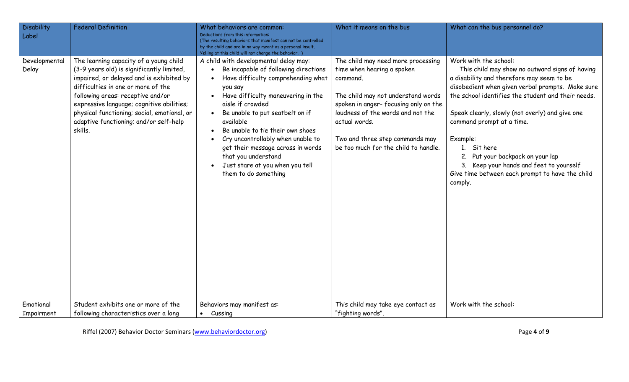| <b>Disability</b><br>Label | <b>Federal Definition</b>                                                                                                                                                                                                                                                                                                                                   | What behaviors are common:<br>Deductions from this information:<br>(The resulting behaviors that manifest can not be controlled<br>by the child and are in no way meant as a personal insult.<br>Yelling at this child will not change the behavior.                                                                                                                                                                                                  | What it means on the bus                                                                                                                                                                                                                                                                    | What can the bus personnel do?                                                                                                                                                                                                                                                                                                                                                                                                                                                      |
|----------------------------|-------------------------------------------------------------------------------------------------------------------------------------------------------------------------------------------------------------------------------------------------------------------------------------------------------------------------------------------------------------|-------------------------------------------------------------------------------------------------------------------------------------------------------------------------------------------------------------------------------------------------------------------------------------------------------------------------------------------------------------------------------------------------------------------------------------------------------|---------------------------------------------------------------------------------------------------------------------------------------------------------------------------------------------------------------------------------------------------------------------------------------------|-------------------------------------------------------------------------------------------------------------------------------------------------------------------------------------------------------------------------------------------------------------------------------------------------------------------------------------------------------------------------------------------------------------------------------------------------------------------------------------|
| Developmental<br>Delay     | The learning capacity of a young child<br>(3-9 years old) is significantly limited,<br>impaired, or delayed and is exhibited by<br>difficulties in one or more of the<br>following areas: receptive and/or<br>expressive language; cognitive abilities;<br>physical functioning; social, emotional, or<br>adaptive functioning; and/or self-help<br>skills. | A child with developmental delay may:<br>Be incapable of following directions<br>Have difficulty comprehending what<br>you say<br>Have difficulty maneuvering in the<br>aisle if crowded<br>Be unable to put seatbelt on if<br>available<br>Be unable to tie their own shoes<br>Cry uncontrollably when unable to<br>get their message across in words<br>that you understand<br>Just stare at you when you tell<br>$\bullet$<br>them to do something | The child may need more processing<br>time when hearing a spoken<br>command.<br>The child may not understand words<br>spoken in anger-focusing only on the<br>loudness of the words and not the<br>actual words.<br>Two and three step commands may<br>be too much for the child to handle. | Work with the school:<br>This child may show no outward signs of having<br>a disability and therefore may seem to be<br>disobedient when given verbal prompts. Make sure<br>the school identifies the student and their needs.<br>Speak clearly, slowly (not overly) and give one<br>command prompt at a time.<br>Example:<br>1. Sit here<br>Put your backpack on your lap<br>3. Keep your hands and feet to yourself<br>Give time between each prompt to have the child<br>comply. |
| Emotional<br>Impairment    | Student exhibits one or more of the<br>following characteristics over a long                                                                                                                                                                                                                                                                                | Behaviors may manifest as:<br>Cussing<br>$\bullet$                                                                                                                                                                                                                                                                                                                                                                                                    | This child may take eye contact as<br>"fighting words".                                                                                                                                                                                                                                     | Work with the school:                                                                                                                                                                                                                                                                                                                                                                                                                                                               |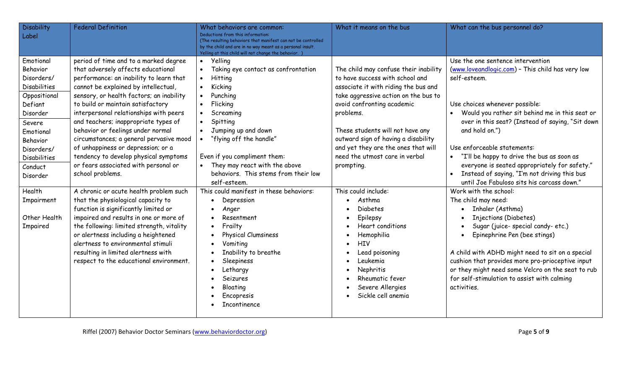| <b>Disability</b><br>Label                                                                                                                                                                       | <b>Federal Definition</b>                                                                                                                                                                                                                                                                                                                                                                                                                                                                                                                                    | What behaviors are common:<br>Deductions from this information:<br>(The resulting behaviors that manifest can not be controlled<br>by the child and are in no way meant as a personal insult.<br>Yelling at this child will not change the behavior.                                                                                                                        | What it means on the bus                                                                                                                                                                                                                                                                                                                                              | What can the bus personnel do?                                                                                                                                                                                                                                                                                                                                                                                                                      |
|--------------------------------------------------------------------------------------------------------------------------------------------------------------------------------------------------|--------------------------------------------------------------------------------------------------------------------------------------------------------------------------------------------------------------------------------------------------------------------------------------------------------------------------------------------------------------------------------------------------------------------------------------------------------------------------------------------------------------------------------------------------------------|-----------------------------------------------------------------------------------------------------------------------------------------------------------------------------------------------------------------------------------------------------------------------------------------------------------------------------------------------------------------------------|-----------------------------------------------------------------------------------------------------------------------------------------------------------------------------------------------------------------------------------------------------------------------------------------------------------------------------------------------------------------------|-----------------------------------------------------------------------------------------------------------------------------------------------------------------------------------------------------------------------------------------------------------------------------------------------------------------------------------------------------------------------------------------------------------------------------------------------------|
| Emotional<br>Behavior<br>Disorders/<br><b>Disabilities</b><br>Oppositional<br>Defiant<br>Disorder<br>Severe<br>Emotional<br>Behavior<br>Disorders/<br><b>Disabilities</b><br>Conduct<br>Disorder | period of time and to a marked degree<br>that adversely affects educational<br>performance: an inability to learn that<br>cannot be explained by intellectual,<br>sensory, or health factors; an inability<br>to build or maintain satisfactory<br>interpersonal relationships with peers<br>and teachers; inappropriate types of<br>behavior or feelings under normal<br>circumstances; a general pervasive mood<br>of unhappiness or depression; or a<br>tendency to develop physical symptoms<br>or fears associated with personal or<br>school problems. | Yelling<br>$\bullet$<br>Taking eye contact as confrontation<br>$\bullet$<br>Hitting<br>$\bullet$<br>Kicking<br>$\bullet$<br>Punching<br>$\bullet$<br>Flicking<br>$\bullet$<br>Screaming<br>Spitting<br>$\bullet$<br>Jumping up and down<br>"flying off the handle"<br>Even if you compliment them:<br>They may react with the above<br>behaviors. This stems from their low | The child may confuse their inability<br>to have success with school and<br>associate it with riding the bus and<br>take aggressive action on the bus to<br>avoid confronting academic<br>problems.<br>These students will not have any<br>outward sign of having a disability<br>and yet they are the ones that will<br>need the utmost care in verbal<br>prompting. | Use the one sentence intervention<br>(www.loveandlogic.com) - This child has very low<br>self-esteem.<br>Use choices whenever possible:<br>Would you rather sit behind me in this seat or<br>over in this seat? (Instead of saying, "Sit down<br>and hold on.")<br>Use enforceable statements:<br>"I'll be happy to drive the bus as soon as<br>everyone is seated appropriately for safety."<br>Instead of saying, "I'm not driving this bus       |
| Health<br>Impairment<br>Other Health<br>Impaired                                                                                                                                                 | A chronic or acute health problem such<br>that the physiological capacity to<br>function is significantly limited or<br>impaired and results in one or more of<br>the following: limited strength, vitality<br>or alertness including a heightened<br>alertness to environmental stimuli<br>resulting in limited alertness with<br>respect to the educational environment.                                                                                                                                                                                   | self-esteem.<br>This could manifest in these behaviors:<br>Depression<br>Anger<br>Resentment<br>Frailty<br>Physical Clumsiness<br>Vomiting<br>Inability to breathe<br>Sleepiness<br>Lethargy<br>Seizures<br>Bloating<br>Encopresis<br>Incontinence                                                                                                                          | This could include:<br>Asthma<br>Diabetes<br>Epilepsy<br><b>Heart conditions</b><br>Hemophilia<br>HIV<br>Lead poisoning<br>Leukemia<br>Nephritis<br>Rheumatic fever<br>Severe Allergies<br>Sickle cell anemia                                                                                                                                                         | until Joe Fabuloso sits his carcass down."<br>Work with the school:<br>The child may need:<br>Inhaler (Asthma)<br>$\bullet$<br>Injections (Diabetes)<br>Sugar (juice-special candy-etc.)<br>Epinephrine Pen (bee stings)<br>A child with ADHD might need to sit on a special<br>cushion that provides more pro-prioceptive input<br>or they might need some Velcro on the seat to rub<br>for self-stimulation to assist with calming<br>activities. |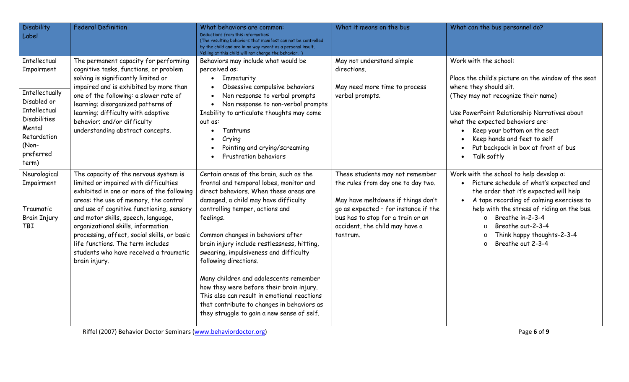| <b>Disability</b><br>Label                                                                                                                                 | <b>Federal Definition</b>                                                                                                                                                                                                                                                                                                                                                                                                                     | What behaviors are common:<br>Deductions from this information:<br>(The resulting behaviors that manifest can not be controlled<br>by the child and are in no way meant as a personal insult.<br>Yelling at this child will not change the behavior.                                                                                                                                                                                                                                                                                                                                                         | What it means on the bus                                                                                                                                                                                                               | What can the bus personnel do?                                                                                                                                                                                                                                                                                                                                      |
|------------------------------------------------------------------------------------------------------------------------------------------------------------|-----------------------------------------------------------------------------------------------------------------------------------------------------------------------------------------------------------------------------------------------------------------------------------------------------------------------------------------------------------------------------------------------------------------------------------------------|--------------------------------------------------------------------------------------------------------------------------------------------------------------------------------------------------------------------------------------------------------------------------------------------------------------------------------------------------------------------------------------------------------------------------------------------------------------------------------------------------------------------------------------------------------------------------------------------------------------|----------------------------------------------------------------------------------------------------------------------------------------------------------------------------------------------------------------------------------------|---------------------------------------------------------------------------------------------------------------------------------------------------------------------------------------------------------------------------------------------------------------------------------------------------------------------------------------------------------------------|
| Intellectual<br>Impairment<br>Intellectually<br>Disabled or<br>Intellectual<br><b>Disabilities</b><br>Mental<br>Retardation<br>(Non-<br>preferred<br>term) | The permanent capacity for performing<br>cognitive tasks, functions, or problem<br>solving is significantly limited or<br>impaired and is exhibited by more than<br>one of the following: a slower rate of<br>learning; disorganized patterns of<br>learning; difficulty with adaptive<br>behavior; and/or difficulty<br>understanding abstract concepts.                                                                                     | Behaviors may include what would be<br>perceived as:<br>• Immaturity<br>Obsessive compulsive behaviors<br>Non response to verbal prompts<br>Non response to non-verbal prompts<br>Inability to articulate thoughts may come<br>out as:<br>Tantrums<br>Crying<br>Pointing and crying/screaming<br><b>Frustration behaviors</b>                                                                                                                                                                                                                                                                                | May not understand simple<br>directions.<br>May need more time to process<br>verbal prompts.                                                                                                                                           | Work with the school:<br>Place the child's picture on the window of the seat<br>where they should sit.<br>(They may not recognize their name)<br>Use PowerPoint Relationship Narratives about<br>what the expected behaviors are:<br>Keep your bottom on the seat<br>Keep hands and feet to self<br>Put backpack in box at front of bus<br>Talk softly<br>$\bullet$ |
| Neurological<br>Impairment<br>Traumatic<br><b>Brain Injury</b><br>TBI                                                                                      | The capacity of the nervous system is<br>limited or impaired with difficulties<br>exhibited in one or more of the following<br>areas: the use of memory, the control<br>and use of cognitive functioning, sensory<br>and motor skills, speech, language,<br>organizational skills, information<br>processing, affect, social skills, or basic<br>life functions. The term includes<br>students who have received a traumatic<br>brain injury. | Certain areas of the brain, such as the<br>frontal and temporal lobes, monitor and<br>direct behaviors. When these areas are<br>damaged, a child may have difficulty<br>controlling temper, actions and<br>feelings.<br>Common changes in behaviors after<br>brain injury include restlessness, hitting,<br>swearing, impulsiveness and difficulty<br>following directions.<br>Many children and adolescents remember<br>how they were before their brain injury.<br>This also can result in emotional reactions<br>that contribute to changes in behaviors as<br>they struggle to gain a new sense of self. | These students may not remember<br>the rules from day one to day two.<br>May have meltdowns if things don't<br>go as expected - for instance if the<br>bus has to stop for a train or an<br>accident, the child may have a<br>tantrum. | Work with the school to help develop a:<br>Picture schedule of what's expected and<br>the order that it's expected will help<br>A tape recording of calming exercises to<br>help with the stress of riding on the bus.<br>Breathe in-2-3-4<br>$\Omega$<br>Breathe out-2-3-4<br>$\Omega$<br>Think happy thoughts-2-3-4<br>Breathe out 2-3-4<br>$\Omega$              |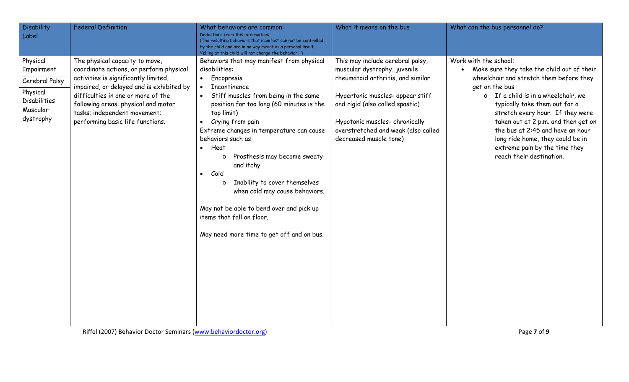| <b>Disability</b><br>Label                                                                           | <b>Federal Definition</b>                                                                                                                                                                                                                                                                                      | What behaviors are common:<br>Deductions from this information:<br>(The resulting behaviors that manifest can not be controlled<br>by the child and are in no way meant as a personal insult.<br>Yelling at this child will not change the behavior.                                                                                                                                                                                                                                                                                                                                                                                  | What it means on the bus                                                                                                                                                                                                                                                        | What can the bus personnel do?                                                                                                                                                                                                                                                                                                                                                                                                              |
|------------------------------------------------------------------------------------------------------|----------------------------------------------------------------------------------------------------------------------------------------------------------------------------------------------------------------------------------------------------------------------------------------------------------------|---------------------------------------------------------------------------------------------------------------------------------------------------------------------------------------------------------------------------------------------------------------------------------------------------------------------------------------------------------------------------------------------------------------------------------------------------------------------------------------------------------------------------------------------------------------------------------------------------------------------------------------|---------------------------------------------------------------------------------------------------------------------------------------------------------------------------------------------------------------------------------------------------------------------------------|---------------------------------------------------------------------------------------------------------------------------------------------------------------------------------------------------------------------------------------------------------------------------------------------------------------------------------------------------------------------------------------------------------------------------------------------|
| Physical<br>Impairment<br>Cerebral Palsy<br>Physical<br><b>Disabilities</b><br>Muscular<br>dystrophy | The physical capacity to move,<br>coordinate actions, or perform physical<br>activities is significantly limited,<br>impaired, or delayed and is exhibited by<br>difficulties in one or more of the<br>following areas: physical and motor<br>tasks; independent movement;<br>performing basic life functions. | Behaviors that may manifest from physical<br>disabilities:<br>Encopresis<br>$\bullet$<br><b>Incontinence</b><br>$\bullet$<br>Stiff muscles from being in the same<br>position for too long (60 minutes is the<br>top limit)<br>Crying from pain<br>$\bullet$<br>Extreme changes in temperature can cause<br>behaviors such as:<br>Heat<br>$\bullet$<br>Prosthesis may become sweaty<br>$\circ$<br>and itchy<br>Cold<br>$\bullet$<br>Inability to cover themselves<br>$\Omega$<br>when cold may cause behaviors.<br>May not be able to bend over and pick up<br>items that fall on floor.<br>May need more time to get off and on bus. | This may include cerebral palsy,<br>muscular dystrophy, juvenile<br>rheumatoid arthritis, and similar.<br>Hypertonic muscles- appear stiff<br>and rigid (also called spastic)<br>Hypotonic muscles-chronically<br>overstretched and weak (also called<br>decreased muscle tone) | Work with the school:<br>Make sure they take the child out of their<br>$\bullet$<br>wheelchair and stretch them before they<br>get on the bus<br>$\circ$ If a child is in a wheelchair, we<br>typically take them out for a<br>stretch every hour. If they were<br>taken out at 2 p.m. and then get on<br>the bus at 2:45 and have an hour<br>long ride home, they could be in<br>extreme pain by the time they<br>reach their destination. |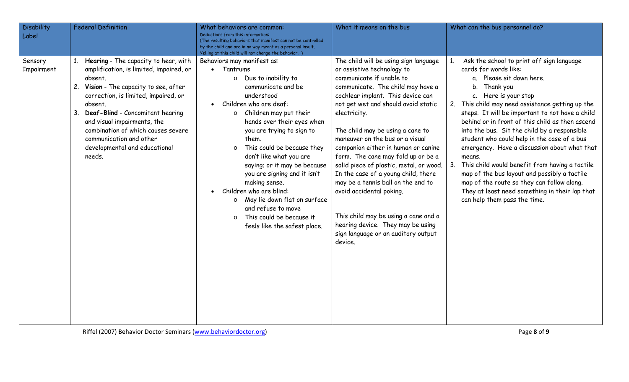| <b>Disability</b><br>Label | <b>Federal Definition</b>                                                                                                                                                                                                                                                                                                                                                    | What behaviors are common:<br>Deductions from this information:<br>(The resulting behaviors that manifest can not be controlled<br>by the child and are in no way meant as a personal insult.<br>Yelling at this child will not change the behavior.                                                                                                                                                                                                                                                                                                                                       | What it means on the bus                                                                                                                                                                                                                                                                                                                                                                                                                                                                                                                                                                                                                                                | What can the bus personnel do?                                                                                                                                                                                                                                                                                                                                                                                                                                                                                                                                                                                                                                                                    |
|----------------------------|------------------------------------------------------------------------------------------------------------------------------------------------------------------------------------------------------------------------------------------------------------------------------------------------------------------------------------------------------------------------------|--------------------------------------------------------------------------------------------------------------------------------------------------------------------------------------------------------------------------------------------------------------------------------------------------------------------------------------------------------------------------------------------------------------------------------------------------------------------------------------------------------------------------------------------------------------------------------------------|-------------------------------------------------------------------------------------------------------------------------------------------------------------------------------------------------------------------------------------------------------------------------------------------------------------------------------------------------------------------------------------------------------------------------------------------------------------------------------------------------------------------------------------------------------------------------------------------------------------------------------------------------------------------------|---------------------------------------------------------------------------------------------------------------------------------------------------------------------------------------------------------------------------------------------------------------------------------------------------------------------------------------------------------------------------------------------------------------------------------------------------------------------------------------------------------------------------------------------------------------------------------------------------------------------------------------------------------------------------------------------------|
| Sensory<br>Impairment      | 1. Hearing - The capacity to hear, with<br>amplification, is limited, impaired, or<br>absent.<br>2. Vision - The capacity to see, after<br>correction, is limited, impaired, or<br>absent.<br>3. Deaf-Blind - Concomitant hearing<br>and visual impairments, the<br>combination of which causes severe<br>communication and other<br>developmental and educational<br>needs. | Behaviors may manifest as:<br>• Tantrums<br>o Due to inability to<br>communicate and be<br>understood<br>Children who are deaf:<br>$\bullet$<br>Children may put their<br>$\circ$<br>hands over their eyes when<br>you are trying to sign to<br>them.<br>This could be because they<br>$\circ$<br>don't like what you are<br>saying; or it may be because<br>you are signing and it isn't<br>making sense.<br>Children who are blind:<br>$\bullet$<br>May lie down flat on surface<br>$\circ$<br>and refuse to move<br>This could be because it<br>$\circ$<br>feels like the safest place. | The child will be using sign language<br>or assistive technology to<br>communicate if unable to<br>communicate. The child may have a<br>cochlear implant. This device can<br>not get wet and should avoid static<br>electricity.<br>The child may be using a cane to<br>maneuver on the bus or a visual<br>companion either in human or canine<br>form. The cane may fold up or be a<br>solid piece of plastic, metal, or wood.<br>In the case of a young child, there<br>may be a tennis ball on the end to<br>avoid accidental poking.<br>This child may be using a cane and a<br>hearing device. They may be using<br>sign language or an auditory output<br>device. | Ask the school to print off sign language<br>cards for words like:<br>a. Please sit down here.<br>b. Thank you<br>c. Here is your stop<br>2. This child may need assistance getting up the<br>steps. It will be important to not have a child<br>behind or in front of this child as then ascend<br>into the bus. Sit the child by a responsible<br>student who could help in the case of a bus<br>emergency. Have a discussion about what that<br>means.<br>This child would benefit from having a tactile<br>3.<br>map of the bus layout and possibly a tactile<br>map of the route so they can follow along.<br>They at least need something in their lap that<br>can help them pass the time. |